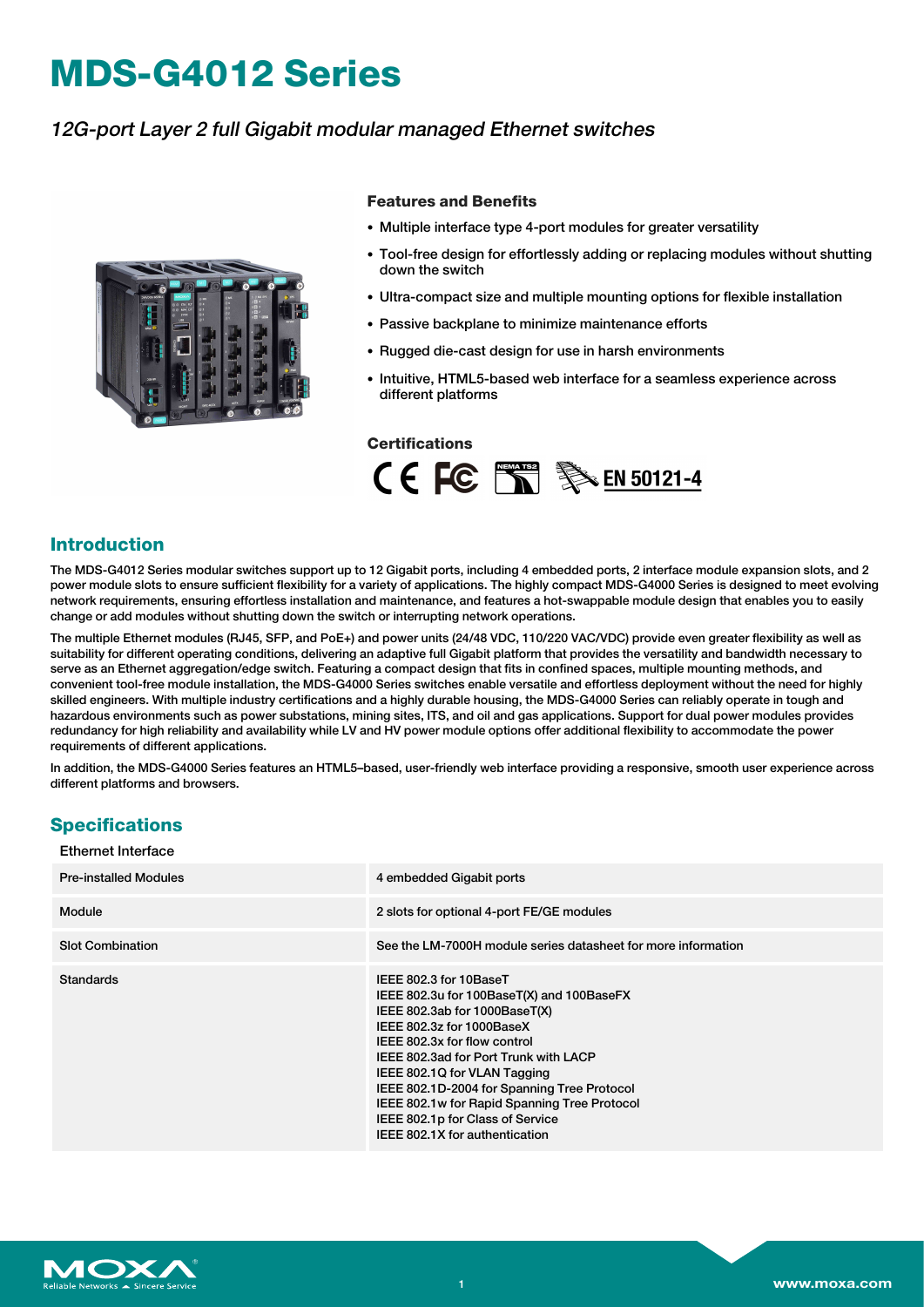# **MDS-G4012 Series**

## 12G-port Layer 2 full Gigabit modular managed Ethernet switches



#### **Features and Benefits**

- Multiple interface type 4-port modules for greater versatility
- Tool-free design for effortlessly adding or replacing modules without shutting down the switch
- Ultra-compact size and multiple mounting options for flexible installation
- Passive backplane to minimize maintenance efforts
- Rugged die-cast design for use in harsh environments
- Intuitive, HTML5-based web interface for a seamless experience across different platforms

#### **Certifications**



#### **Introduction**

The MDS-G4012 Series modular switches support up to 12 Gigabit ports, including 4 embedded ports, 2 interface module expansion slots, and 2 power module slots to ensure sufficient flexibility for a variety of applications. The highly compact MDS-G4000 Series is designed to meet evolving network requirements, ensuring effortless installation and maintenance, and features a hot-swappable module design that enables you to easily change or add modules without shutting down the switch or interrupting network operations.

The multiple Ethernet modules (RJ45, SFP, and PoE+) and power units (24/48 VDC, 110/220 VAC/VDC) provide even greater flexibility as well as suitability for different operating conditions, delivering an adaptive full Gigabit platform that provides the versatility and bandwidth necessary to serve as an Ethernet aggregation/edge switch. Featuring a compact design that fits in confined spaces, multiple mounting methods, and convenient tool-free module installation, the MDS-G4000 Series switches enable versatile and effortless deployment without the need for highly skilled engineers. With multiple industry certifications and a highly durable housing, the MDS-G4000 Series can reliably operate in tough and hazardous environments such as power substations, mining sites, ITS, and oil and gas applications. Support for dual power modules provides redundancy for high reliability and availability while LV and HV power module options offer additional flexibility to accommodate the power requirements of different applications.

In addition, the MDS-G4000 Series features an HTML5–based, user-friendly web interface providing a responsive, smooth user experience across different platforms and browsers.

#### **Specifications** Ethernet Interface

| EUICHICL IIILCH I AUC        |                                                                                                                                                                                                                                                                                                                                                                                                                 |
|------------------------------|-----------------------------------------------------------------------------------------------------------------------------------------------------------------------------------------------------------------------------------------------------------------------------------------------------------------------------------------------------------------------------------------------------------------|
| <b>Pre-installed Modules</b> | 4 embedded Gigabit ports                                                                                                                                                                                                                                                                                                                                                                                        |
| Module                       | 2 slots for optional 4-port FE/GE modules                                                                                                                                                                                                                                                                                                                                                                       |
| <b>Slot Combination</b>      | See the LM-7000H module series datasheet for more information                                                                                                                                                                                                                                                                                                                                                   |
| <b>Standards</b>             | IEEE 802.3 for 10BaseT<br>IEEE 802.3u for 100BaseT(X) and 100BaseFX<br>IEEE 802.3ab for 1000BaseT(X)<br>IEEE 802.3z for 1000BaseX<br>IEEE 802.3x for flow control<br>IEEE 802.3ad for Port Trunk with LACP<br>IEEE 802.1Q for VLAN Tagging<br>IEEE 802.1D-2004 for Spanning Tree Protocol<br>IEEE 802.1w for Rapid Spanning Tree Protocol<br>IEEE 802.1p for Class of Service<br>IEEE 802.1X for authentication |

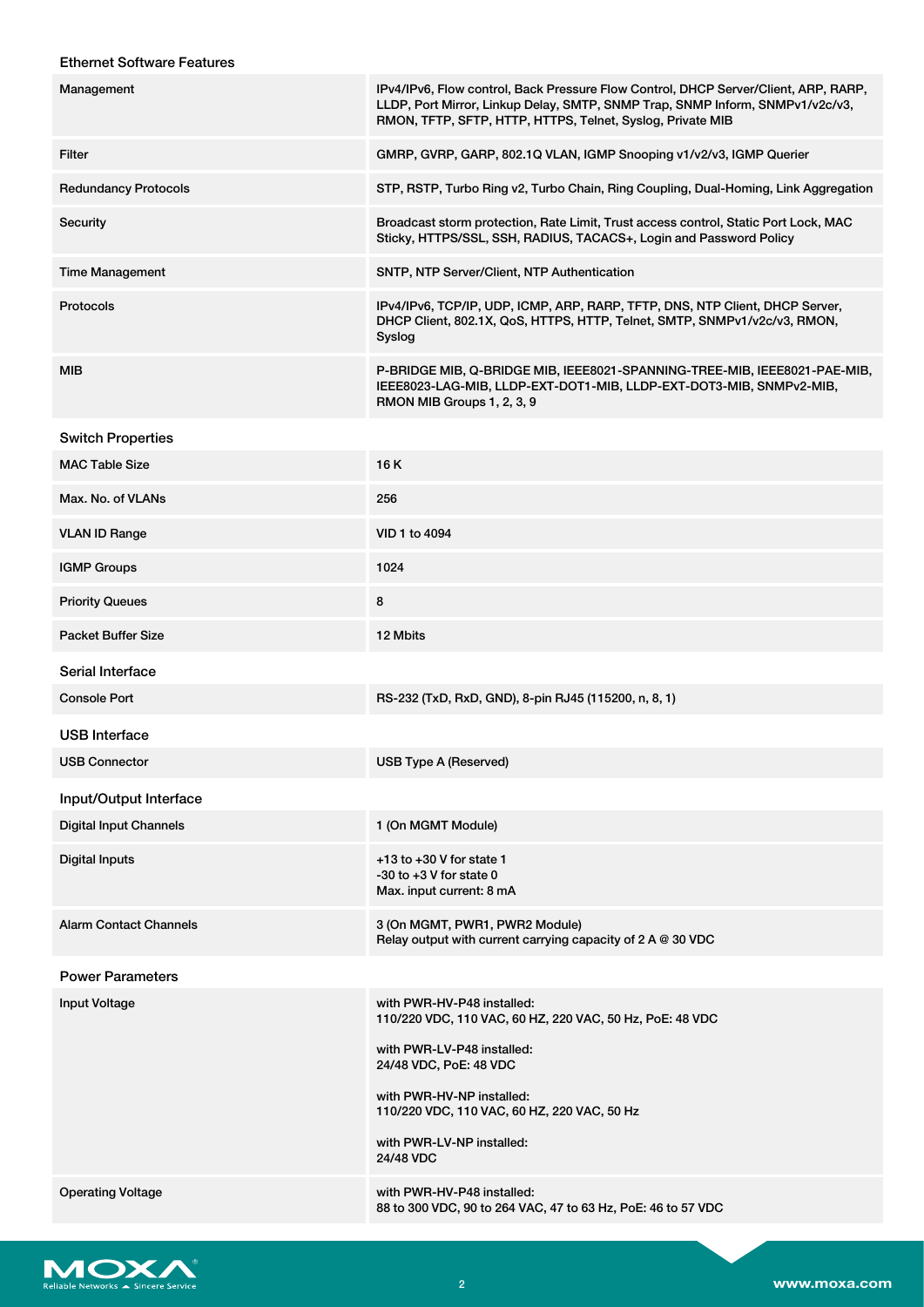#### Ethernet Software Features

| Management                    | IPv4/IPv6, Flow control, Back Pressure Flow Control, DHCP Server/Client, ARP, RARP,<br>LLDP, Port Mirror, Linkup Delay, SMTP, SNMP Trap, SNMP Inform, SNMPv1/v2c/v3,<br>RMON, TFTP, SFTP, HTTP, HTTPS, Telnet, Syslog, Private MIB |
|-------------------------------|------------------------------------------------------------------------------------------------------------------------------------------------------------------------------------------------------------------------------------|
| <b>Filter</b>                 | GMRP, GVRP, GARP, 802.1Q VLAN, IGMP Snooping v1/v2/v3, IGMP Querier                                                                                                                                                                |
| <b>Redundancy Protocols</b>   | STP, RSTP, Turbo Ring v2, Turbo Chain, Ring Coupling, Dual-Homing, Link Aggregation                                                                                                                                                |
| Security                      | Broadcast storm protection, Rate Limit, Trust access control, Static Port Lock, MAC<br>Sticky, HTTPS/SSL, SSH, RADIUS, TACACS+, Login and Password Policy                                                                          |
| <b>Time Management</b>        | SNTP, NTP Server/Client, NTP Authentication                                                                                                                                                                                        |
| <b>Protocols</b>              | IPv4/IPv6, TCP/IP, UDP, ICMP, ARP, RARP, TFTP, DNS, NTP Client, DHCP Server,<br>DHCP Client, 802.1X, QoS, HTTPS, HTTP, Telnet, SMTP, SNMPv1/v2c/v3, RMON,<br>Syslog                                                                |
| <b>MIB</b>                    | P-BRIDGE MIB, Q-BRIDGE MIB, IEEE8021-SPANNING-TREE-MIB, IEEE8021-PAE-MIB,<br>IEEE8023-LAG-MIB, LLDP-EXT-DOT1-MIB, LLDP-EXT-DOT3-MIB, SNMPv2-MIB,<br>RMON MIB Groups 1, 2, 3, 9                                                     |
| <b>Switch Properties</b>      |                                                                                                                                                                                                                                    |
| <b>MAC Table Size</b>         | 16 K                                                                                                                                                                                                                               |
| Max. No. of VLANs             | 256                                                                                                                                                                                                                                |
| <b>VLAN ID Range</b>          | VID 1 to 4094                                                                                                                                                                                                                      |
| <b>IGMP Groups</b>            | 1024                                                                                                                                                                                                                               |
| <b>Priority Queues</b>        | 8                                                                                                                                                                                                                                  |
| <b>Packet Buffer Size</b>     | 12 Mbits                                                                                                                                                                                                                           |
| Serial Interface              |                                                                                                                                                                                                                                    |
| <b>Console Port</b>           | RS-232 (TxD, RxD, GND), 8-pin RJ45 (115200, n, 8, 1)                                                                                                                                                                               |
| USB Interface                 |                                                                                                                                                                                                                                    |
| <b>USB Connector</b>          | <b>USB Type A (Reserved)</b>                                                                                                                                                                                                       |
| Input/Output Interface        |                                                                                                                                                                                                                                    |
| <b>Digital Input Channels</b> | 1 (On MGMT Module)                                                                                                                                                                                                                 |
| <b>Digital Inputs</b>         | $+13$ to $+30$ V for state 1<br>$-30$ to $+3$ V for state 0<br>Max. input current: 8 mA                                                                                                                                            |
| <b>Alarm Contact Channels</b> | 3 (On MGMT, PWR1, PWR2 Module)<br>Relay output with current carrying capacity of $2 A @ 30 VDC$                                                                                                                                    |
| <b>Power Parameters</b>       |                                                                                                                                                                                                                                    |
| <b>Input Voltage</b>          | with PWR-HV-P48 installed:<br>110/220 VDC, 110 VAC, 60 HZ, 220 VAC, 50 Hz, PoE: 48 VDC                                                                                                                                             |
|                               | with PWR-LV-P48 installed:<br>24/48 VDC, PoE: 48 VDC                                                                                                                                                                               |
|                               | with PWR-HV-NP installed:<br>110/220 VDC, 110 VAC, 60 HZ, 220 VAC, 50 Hz                                                                                                                                                           |
|                               | with PWR-LV-NP installed:<br>24/48 VDC                                                                                                                                                                                             |
| <b>Operating Voltage</b>      | with PWR-HV-P48 installed:<br>88 to 300 VDC, 90 to 264 VAC, 47 to 63 Hz, PoE: 46 to 57 VDC                                                                                                                                         |

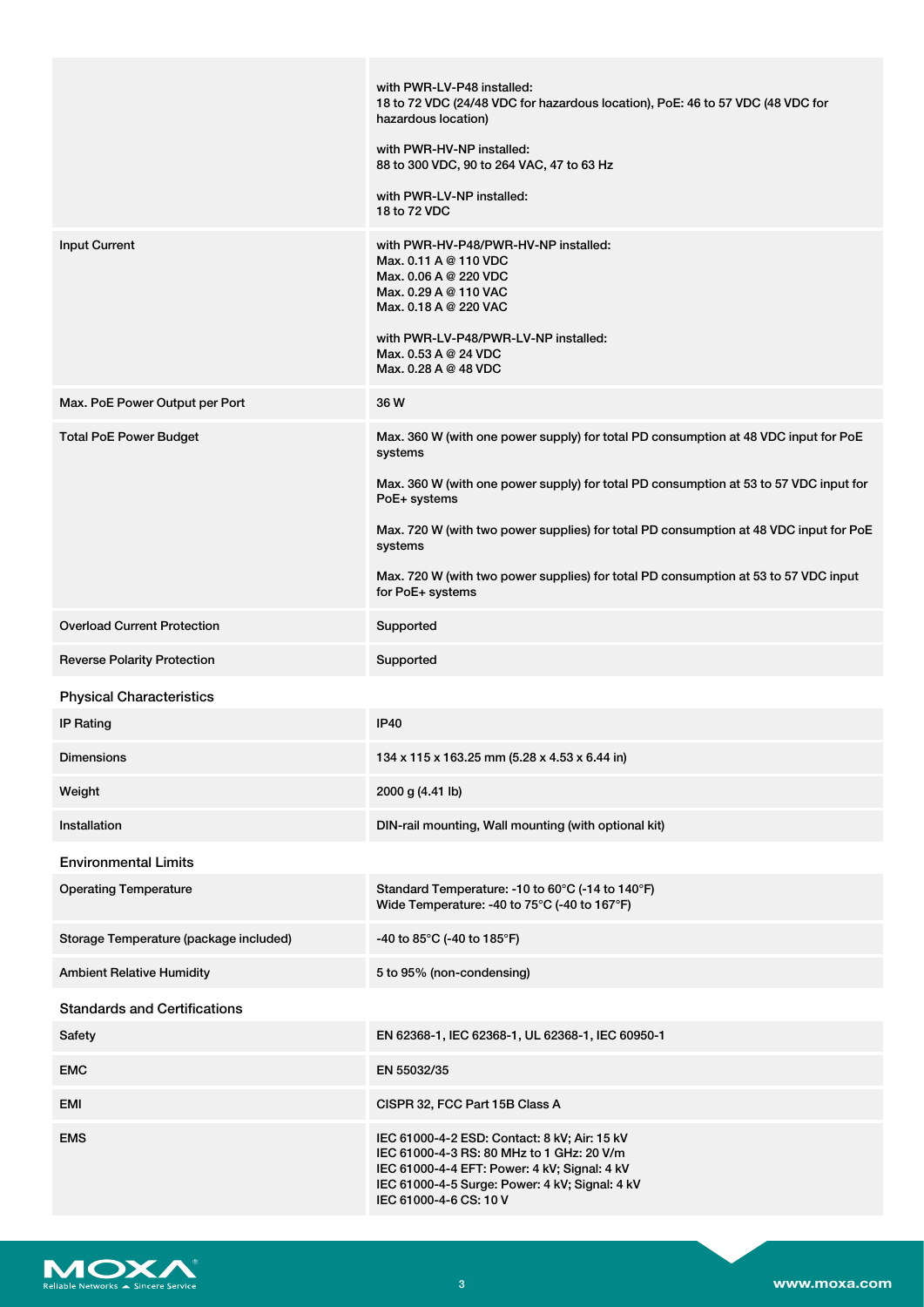|                                        | with PWR-LV-P48 installed:<br>18 to 72 VDC (24/48 VDC for hazardous location), PoE: 46 to 57 VDC (48 VDC for<br>hazardous location)<br>with PWR-HV-NP installed:<br>88 to 300 VDC, 90 to 264 VAC, 47 to 63 Hz<br>with PWR-LV-NP installed:<br>18 to 72 VDC                                                                                                                                                             |
|----------------------------------------|------------------------------------------------------------------------------------------------------------------------------------------------------------------------------------------------------------------------------------------------------------------------------------------------------------------------------------------------------------------------------------------------------------------------|
| <b>Input Current</b>                   | with PWR-HV-P48/PWR-HV-NP installed:<br>Max. 0.11 A @ 110 VDC<br>Max. 0.06 A @ 220 VDC<br>Max. 0.29 A @ 110 VAC<br>Max. 0.18 A @ 220 VAC<br>with PWR-LV-P48/PWR-LV-NP installed:<br>Max. $0.53 A @ 24 VDC$<br>Max. 0.28 A @ 48 VDC                                                                                                                                                                                     |
| Max. PoE Power Output per Port         | 36 W                                                                                                                                                                                                                                                                                                                                                                                                                   |
| <b>Total PoE Power Budget</b>          | Max. 360 W (with one power supply) for total PD consumption at 48 VDC input for PoE<br>systems<br>Max. 360 W (with one power supply) for total PD consumption at 53 to 57 VDC input for<br>PoE+ systems<br>Max. 720 W (with two power supplies) for total PD consumption at 48 VDC input for PoE<br>systems<br>Max. 720 W (with two power supplies) for total PD consumption at 53 to 57 VDC input<br>for PoE+ systems |
| <b>Overload Current Protection</b>     | Supported                                                                                                                                                                                                                                                                                                                                                                                                              |
| <b>Reverse Polarity Protection</b>     | Supported                                                                                                                                                                                                                                                                                                                                                                                                              |
| <b>Physical Characteristics</b>        |                                                                                                                                                                                                                                                                                                                                                                                                                        |
| <b>IP Rating</b>                       | <b>IP40</b>                                                                                                                                                                                                                                                                                                                                                                                                            |
| <b>Dimensions</b>                      | $134 \times 115 \times 163.25$ mm (5.28 x 4.53 x 6.44 in)                                                                                                                                                                                                                                                                                                                                                              |
| Weight                                 | 2000 g (4.41 lb)                                                                                                                                                                                                                                                                                                                                                                                                       |
| Installation                           | DIN-rail mounting, Wall mounting (with optional kit)                                                                                                                                                                                                                                                                                                                                                                   |
| <b>Environmental Limits</b>            |                                                                                                                                                                                                                                                                                                                                                                                                                        |
| <b>Operating Temperature</b>           | Standard Temperature: -10 to 60°C (-14 to 140°F)<br>Wide Temperature: -40 to 75°C (-40 to 167°F)                                                                                                                                                                                                                                                                                                                       |
| Storage Temperature (package included) | -40 to 85°C (-40 to 185°F)                                                                                                                                                                                                                                                                                                                                                                                             |
| <b>Ambient Relative Humidity</b>       | 5 to 95% (non-condensing)                                                                                                                                                                                                                                                                                                                                                                                              |
| <b>Standards and Certifications</b>    |                                                                                                                                                                                                                                                                                                                                                                                                                        |
| Safety                                 | EN 62368-1, IEC 62368-1, UL 62368-1, IEC 60950-1                                                                                                                                                                                                                                                                                                                                                                       |
| <b>EMC</b>                             | EN 55032/35                                                                                                                                                                                                                                                                                                                                                                                                            |
| EMI                                    | CISPR 32, FCC Part 15B Class A                                                                                                                                                                                                                                                                                                                                                                                         |
| <b>EMS</b>                             | IEC 61000-4-2 ESD: Contact: 8 kV; Air: 15 kV<br>IEC 61000-4-3 RS: 80 MHz to 1 GHz: 20 V/m<br>IEC 61000-4-4 EFT: Power: 4 kV; Signal: 4 kV<br>IEC 61000-4-5 Surge: Power: 4 kV; Signal: 4 kV<br>IEC 61000-4-6 CS: 10 V                                                                                                                                                                                                  |

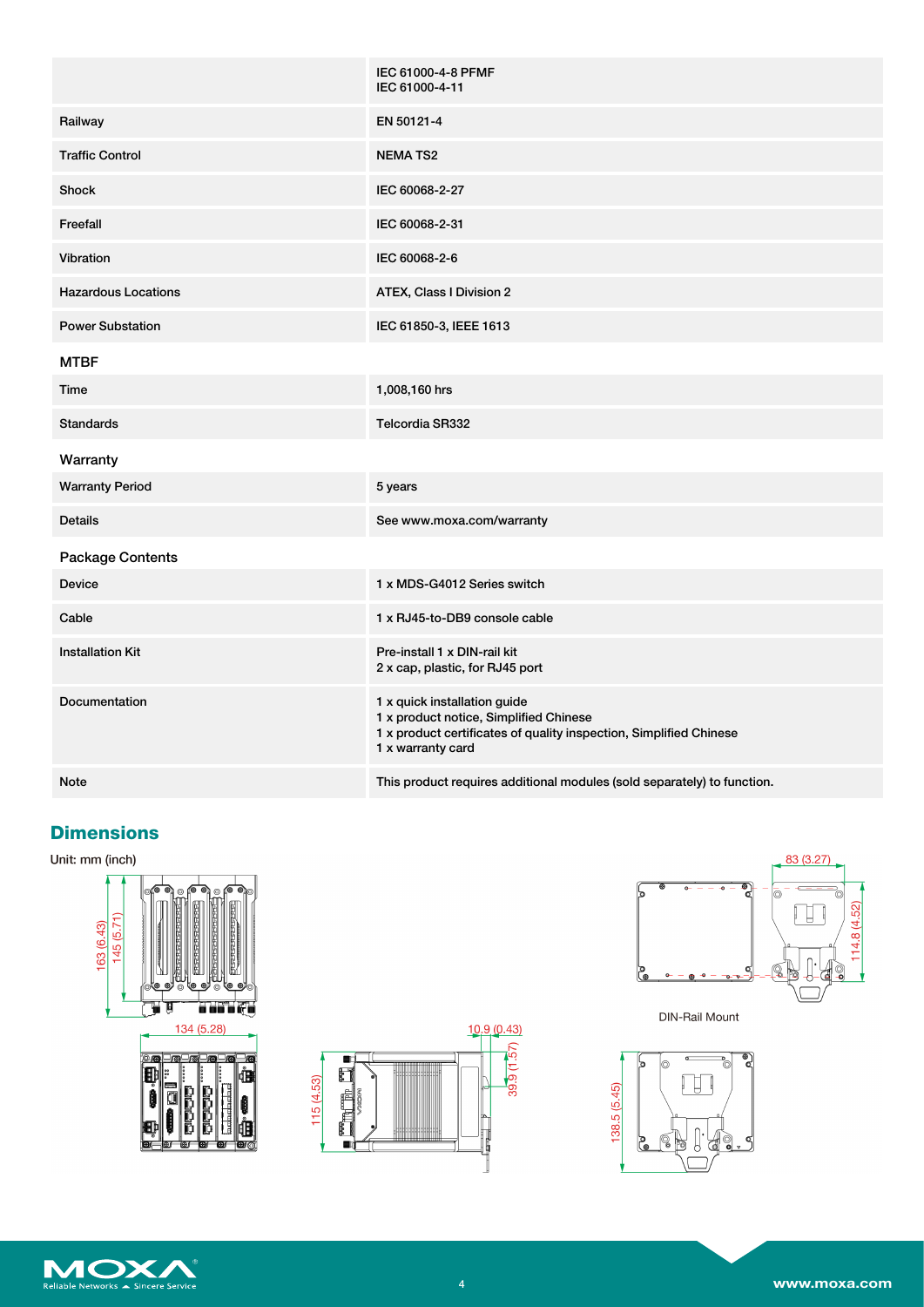|                            | IEC 61000-4-8 PFMF<br>IEC 61000-4-11                                                                                                                              |
|----------------------------|-------------------------------------------------------------------------------------------------------------------------------------------------------------------|
| Railway                    | EN 50121-4                                                                                                                                                        |
| <b>Traffic Control</b>     | <b>NEMATS2</b>                                                                                                                                                    |
| <b>Shock</b>               | IEC 60068-2-27                                                                                                                                                    |
| Freefall                   | IEC 60068-2-31                                                                                                                                                    |
| Vibration                  | IEC 60068-2-6                                                                                                                                                     |
| <b>Hazardous Locations</b> | ATEX, Class I Division 2                                                                                                                                          |
| <b>Power Substation</b>    | IEC 61850-3, IEEE 1613                                                                                                                                            |
| <b>MTBF</b>                |                                                                                                                                                                   |
| Time                       | 1,008,160 hrs                                                                                                                                                     |
| <b>Standards</b>           | <b>Telcordia SR332</b>                                                                                                                                            |
| Warranty                   |                                                                                                                                                                   |
| <b>Warranty Period</b>     | 5 years                                                                                                                                                           |
| <b>Details</b>             | See www.moxa.com/warranty                                                                                                                                         |
| <b>Package Contents</b>    |                                                                                                                                                                   |
| <b>Device</b>              | 1 x MDS-G4012 Series switch                                                                                                                                       |
| Cable                      | 1 x RJ45-to-DB9 console cable                                                                                                                                     |
| <b>Installation Kit</b>    | Pre-install 1 x DIN-rail kit<br>2 x cap, plastic, for RJ45 port                                                                                                   |
| <b>Documentation</b>       | 1 x quick installation guide<br>1 x product notice, Simplified Chinese<br>1 x product certificates of quality inspection, Simplified Chinese<br>1 x warranty card |
| <b>Note</b>                | This product requires additional modules (sold separately) to function.                                                                                           |

### **Dimensions**

Unit: mm (inch)







**DIN-Rail Mount** 



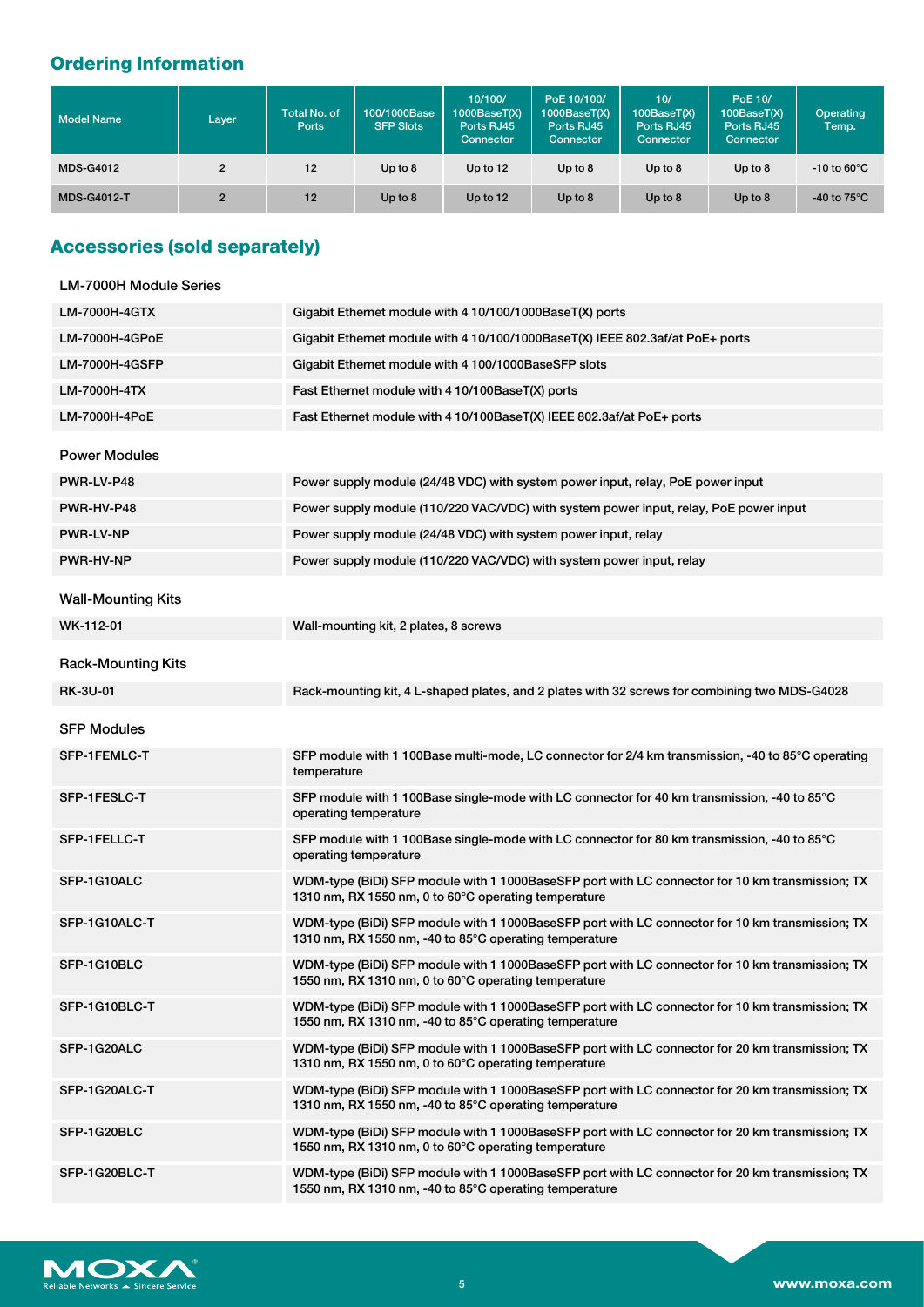# **Ordering Information**

| <b>Model Name</b>  | Layer | <b>Total No. of</b><br><b>Ports</b> | 100/1000Base<br><b>SFP Slots</b> | 10/100/<br>1000BaseT(X)<br>Ports RJ45<br>Connector | PoE 10/100/<br>1000BaseT(X)<br>Ports RJ45<br><b>Connector</b> | 10/<br>100BaseT(X)<br>Ports RJ45<br>Connector | PoE 10/<br>100BaseT(X)<br>Ports RJ45<br>Connector | Operating<br>Temp.             |
|--------------------|-------|-------------------------------------|----------------------------------|----------------------------------------------------|---------------------------------------------------------------|-----------------------------------------------|---------------------------------------------------|--------------------------------|
| <b>MDS-G4012</b>   | 2     | 12                                  | Up to $8$                        | Up to 12                                           | Up to $8$                                                     | Up to $8$                                     | Up to $8$                                         | $-10$ to 60 $^{\circ}$ C       |
| <b>MDS-G4012-T</b> | 2     | 12                                  | Up to $8$                        | Up to 12                                           | Up to $8$                                                     | Up to $8$                                     | Up to $8$                                         | -40 to 75 $\mathrm{^{\circ}C}$ |

# **Accessories (sold separately)**

| LM-7000H Module Series    |                                                                                                                                                           |
|---------------------------|-----------------------------------------------------------------------------------------------------------------------------------------------------------|
| <b>LM-7000H-4GTX</b>      | Gigabit Ethernet module with 4 10/100/1000BaseT(X) ports                                                                                                  |
| LM-7000H-4GPoE            | Gigabit Ethernet module with 4 10/100/1000BaseT(X) IEEE 802.3af/at PoE+ ports                                                                             |
| <b>LM-7000H-4GSFP</b>     | Gigabit Ethernet module with 4 100/1000BaseSFP slots                                                                                                      |
| LM-7000H-4TX              | Fast Ethernet module with 4 10/100BaseT(X) ports                                                                                                          |
| LM-7000H-4PoE             | Fast Ethernet module with 4 10/100BaseT(X) IEEE 802.3af/at PoE+ ports                                                                                     |
| <b>Power Modules</b>      |                                                                                                                                                           |
| PWR-LV-P48                | Power supply module (24/48 VDC) with system power input, relay, PoE power input                                                                           |
| PWR-HV-P48                | Power supply module (110/220 VAC/VDC) with system power input, relay, PoE power input                                                                     |
| <b>PWR-LV-NP</b>          | Power supply module (24/48 VDC) with system power input, relay                                                                                            |
| <b>PWR-HV-NP</b>          | Power supply module (110/220 VAC/VDC) with system power input, relay                                                                                      |
| <b>Wall-Mounting Kits</b> |                                                                                                                                                           |
| WK-112-01                 | Wall-mounting kit, 2 plates, 8 screws                                                                                                                     |
| <b>Rack-Mounting Kits</b> |                                                                                                                                                           |
| <b>RK-3U-01</b>           | Rack-mounting kit, 4 L-shaped plates, and 2 plates with 32 screws for combining two MDS-G4028                                                             |
| <b>SFP Modules</b>        |                                                                                                                                                           |
| SFP-1FEMLC-T              | SFP module with 1 100Base multi-mode, LC connector for 2/4 km transmission, -40 to 85°C operating<br>temperature                                          |
| SFP-1FESLC-T              | SFP module with 1 100Base single-mode with LC connector for 40 km transmission, -40 to 85°C<br>operating temperature                                      |
| SFP-1FELLC-T              | SFP module with 1 100Base single-mode with LC connector for 80 km transmission, -40 to 85°C<br>operating temperature                                      |
| SFP-1G10ALC               | WDM-type (BiDi) SFP module with 1 1000BaseSFP port with LC connector for 10 km transmission; TX<br>1310 nm, RX 1550 nm, 0 to 60°C operating temperature   |
| SFP-1G10ALC-T             | WDM-type (BiDi) SFP module with 1 1000BaseSFP port with LC connector for 10 km transmission; TX<br>1310 nm, RX 1550 nm, -40 to 85°C operating temperature |
| SFP-1G10BLC               | WDM-type (BiDi) SFP module with 1 1000BaseSFP port with LC connector for 10 km transmission; TX<br>1550 nm, RX 1310 nm, 0 to 60°C operating temperature   |
| SFP-1G10BLC-T             | WDM-type (BiDi) SFP module with 1 1000BaseSFP port with LC connector for 10 km transmission; TX<br>1550 nm, RX 1310 nm, -40 to 85°C operating temperature |
| SFP-1G20ALC               | WDM-type (BiDi) SFP module with 1 1000BaseSFP port with LC connector for 20 km transmission; TX<br>1310 nm, RX 1550 nm, 0 to 60°C operating temperature   |
| SFP-1G20ALC-T             | WDM-type (BiDi) SFP module with 1 1000BaseSFP port with LC connector for 20 km transmission; TX<br>1310 nm, RX 1550 nm, -40 to 85°C operating temperature |
| SFP-1G20BLC               | WDM-type (BiDi) SFP module with 1 1000BaseSFP port with LC connector for 20 km transmission; TX<br>1550 nm, RX 1310 nm, 0 to 60°C operating temperature   |
| SFP-1G20BLC-T             | WDM-type (BiDi) SFP module with 1 1000BaseSFP port with LC connector for 20 km transmission; TX<br>1550 nm, RX 1310 nm, -40 to 85°C operating temperature |

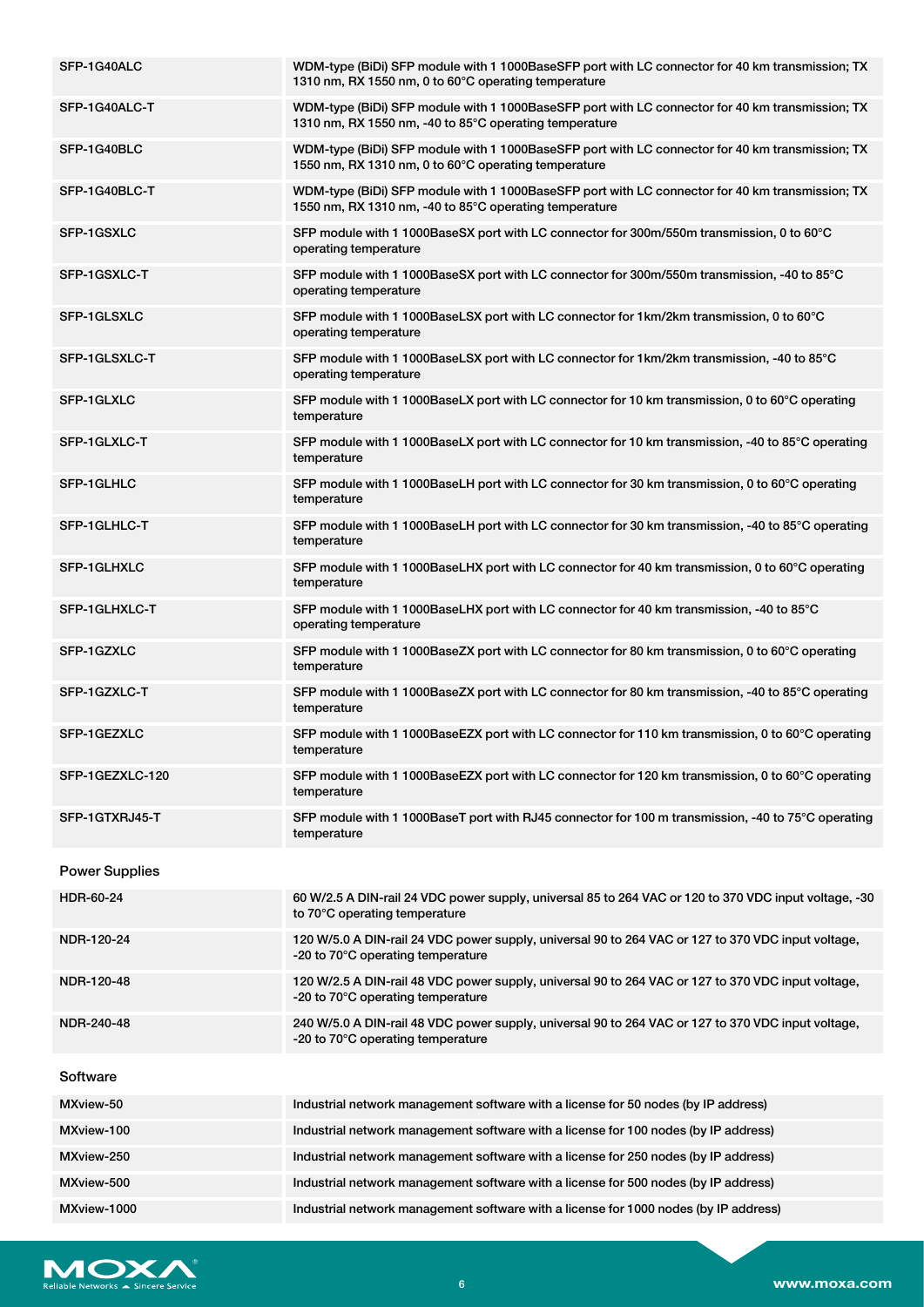| SFP-1G40ALC           | WDM-type (BiDi) SFP module with 1 1000BaseSFP port with LC connector for 40 km transmission; TX<br>1310 nm, RX 1550 nm, 0 to 60°C operating temperature   |
|-----------------------|-----------------------------------------------------------------------------------------------------------------------------------------------------------|
| SFP-1G40ALC-T         | WDM-type (BiDi) SFP module with 1 1000BaseSFP port with LC connector for 40 km transmission; TX<br>1310 nm, RX 1550 nm, -40 to 85°C operating temperature |
| SFP-1G40BLC           | WDM-type (BiDi) SFP module with 1 1000BaseSFP port with LC connector for 40 km transmission; TX<br>1550 nm, RX 1310 nm, 0 to 60°C operating temperature   |
| SFP-1G40BLC-T         | WDM-type (BiDi) SFP module with 1 1000BaseSFP port with LC connector for 40 km transmission; TX<br>1550 nm, RX 1310 nm, -40 to 85°C operating temperature |
| SFP-1GSXLC            | SFP module with 1 1000BaseSX port with LC connector for 300m/550m transmission, 0 to 60°C<br>operating temperature                                        |
| SFP-1GSXLC-T          | SFP module with 1 1000BaseSX port with LC connector for 300m/550m transmission, -40 to 85°C<br>operating temperature                                      |
| SFP-1GLSXLC           | SFP module with 1 1000BaseLSX port with LC connector for 1km/2km transmission, 0 to 60°C<br>operating temperature                                         |
| SFP-1GLSXLC-T         | SFP module with 1 1000BaseLSX port with LC connector for 1km/2km transmission, -40 to 85°C<br>operating temperature                                       |
| SFP-1GLXLC            | SFP module with 1 1000BaseLX port with LC connector for 10 km transmission, 0 to 60°C operating<br>temperature                                            |
| SFP-1GLXLC-T          | SFP module with 1 1000BaseLX port with LC connector for 10 km transmission, -40 to 85°C operating<br>temperature                                          |
| SFP-1GLHLC            | SFP module with 1 1000BaseLH port with LC connector for 30 km transmission, 0 to 60°C operating<br>temperature                                            |
| SFP-1GLHLC-T          | SFP module with 1 1000BaseLH port with LC connector for 30 km transmission, -40 to 85°C operating<br>temperature                                          |
| SFP-1GLHXLC           | SFP module with 1 1000BaseLHX port with LC connector for 40 km transmission, 0 to 60°C operating<br>temperature                                           |
| SFP-1GLHXLC-T         | SFP module with 1 1000BaseLHX port with LC connector for 40 km transmission, -40 to 85°C<br>operating temperature                                         |
| SFP-1GZXLC            | SFP module with 1 1000BaseZX port with LC connector for 80 km transmission, 0 to 60°C operating<br>temperature                                            |
| SFP-1GZXLC-T          | SFP module with 1 1000BaseZX port with LC connector for 80 km transmission, -40 to 85°C operating<br>temperature                                          |
| SFP-1GEZXLC           | SFP module with 1 1000BaseEZX port with LC connector for 110 km transmission, 0 to 60°C operating<br>temperature                                          |
| SFP-1GEZXLC-120       | SFP module with 1 1000BaseEZX port with LC connector for 120 km transmission, 0 to 60°C operating<br>temperature                                          |
| SFP-1GTXRJ45-T        | SFP module with 1 1000BaseT port with RJ45 connector for 100 m transmission, -40 to 75°C operating<br>temperature                                         |
| <b>Power Supplies</b> |                                                                                                                                                           |
| HDR-60-24             | 60 W/2.5 A DIN-rail 24 VDC power supply, universal 85 to 264 VAC or 120 to 370 VDC input voltage, -30<br>to 70°C operating temperature                    |
| NDR-120-24            | 120 W/5.0 A DIN-rail 24 VDC power supply, universal 90 to 264 VAC or 127 to 370 VDC input voltage,<br>-20 to 70°C operating temperature                   |
| NDR-120-48            | 120 W/2.5 A DIN-rail 48 VDC power supply, universal 90 to 264 VAC or 127 to 370 VDC input voltage,<br>-20 to 70°C operating temperature                   |
| NDR-240-48            | 240 W/5.0 A DIN-rail 48 VDC power supply, universal 90 to 264 VAC or 127 to 370 VDC input voltage,<br>-20 to 70°C operating temperature                   |
| Software              |                                                                                                                                                           |
| MXview-50             | Industrial network management software with a license for 50 nodes (by IP address)                                                                        |
| MXview-100            | Industrial network management software with a license for 100 nodes (by IP address)                                                                       |
| MXview-250            | Industrial network management software with a license for 250 nodes (by IP address)                                                                       |
| MXview-500            | Industrial network management software with a license for 500 nodes (by IP address)                                                                       |
| MXview-1000           | Industrial network management software with a license for 1000 nodes (by IP address)                                                                      |